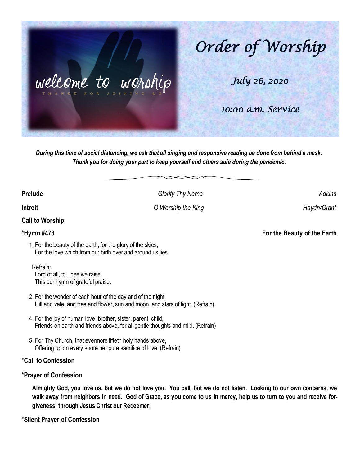

*During this time of social distancing, we ask that all singing and responsive reading be done from behind a mask. Thank you for doing your part to keep yourself and others safe during the pandemic.*

**Prelude** *Adkins Glorify Thy Name Adkins Adkins* 

**Introit** *O Worship the King Haydn/Grant* 

# **Call to Worship**

**\*Hymn #473 For the Beauty of the Earth**

- 1. For the beauty of the earth, for the glory of the skies, For the love which from our birth over and around us lies.
	- Refrain:

 Lord of all, to Thee we raise, This our hymn of grateful praise.

- 2. For the wonder of each hour of the day and of the night, Hill and vale, and tree and flower, sun and moon, and stars of light. (Refrain)
- 4. For the joy of human love, brother, sister, parent, child, Friends on earth and friends above, for all gentle thoughts and mild. (Refrain)
- 5. For Thy Church, that evermore lifteth holy hands above, Offering up on every shore her pure sacrifice of love. (Refrain)

### **\*Call to Confession**

### **\*Prayer of Confession**

**Almighty God, you love us, but we do not love you. You call, but we do not listen. Looking to our own concerns, we walk away from neighbors in need. God of Grace, as you come to us in mercy, help us to turn to you and receive forgiveness; through Jesus Christ our Redeemer.**

**\*Silent Prayer of Confession**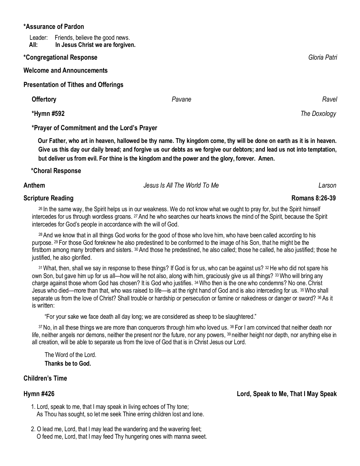### **\*Assurance of Pardon**

Leader: Friends, believe the good news.  **All: In Jesus Christ we are forgiven.**

### **\*Congregational Response** *Gloria Patri*

**Welcome and Announcements**

**Presentation of Tithes and Offerings** 

**Offertory** *Ravel**Pavane**Pavane**Ravel**Ravel**Ravel**Ravel*  **\*Hymn #592** *The Doxology*  **\*Prayer of Commitment and the Lord's Prayer**

 **Our Father, who art in heaven, hallowed be thy name. Thy kingdom come, thy will be done on earth as it is in heaven. Give us this day our daily bread; and forgive us our debts as we forgive our debtors; and lead us not into temptation, but deliver us from evil. For thine is the kingdom and the power and the glory, forever. Amen.** 

### **\*Choral Response**

**Anthem** *Jesus Is All The World To Me Larson*

### **Scripture Reading**

<sup>26</sup> In the same way, the Spirit helps us in our weakness. We do not know what we ought to pray for, but the Spirit himself intercedes for us through wordless groans. <sup>27</sup> And he who searches our hearts knows the mind of the Spirit, because the Spirit intercedes for God's people in accordance with the will of God.

<sup>28</sup>And we know that in all things God works for the good of those who love him, who have been called according to his purpose. <sup>29</sup> For those God foreknew he also predestined to be conformed to the image of his Son, that he might be the firstborn among many brothers and sisters. <sup>30</sup> And those he predestined, he also called; those he called, he also justified; those he justified, he also glorified.

<sup>31</sup>What, then, shall we say in response to these things? If God is for us, who can be against us? <sup>32</sup>He who did not spare his own Son, but gave him up for us all—how will he not also, along with him, graciously give us all things? <sup>33</sup>Who will bring any charge against those whom God has chosen? It is God who justifies. <sup>34</sup>Who then is the one who condemns? No one. Christ Jesus who died—more than that, who was raised to life—is at the right hand of God and is also interceding for us. <sup>35</sup>Who shall separate us from the love of Christ? Shall trouble or hardship or persecution or famine or nakedness or danger or sword? 36 As it is written:

"For your sake we face death all day long; we are considered as sheep to be slaughtered."

<sup>37</sup>No, in all these things we are more than conquerors through him who loved us. <sup>38</sup> For I am convinced that neither death nor life, neither angels nor demons, neither the present nor the future, nor any powers, <sup>39</sup> neither height nor depth, nor anything else in all creation, will be able to separate us from the love of God that is in Christ Jesus our Lord.

The Word of the Lord. **Thanks be to God.**

### **Children's Time**

**Hymn #426 Lord, Speak to Me, That I May Speak**

- 1. Lord, speak to me, that I may speak in living echoes of Thy tone; As Thou has sought, so let me seek Thine erring children lost and lone.
- 2. O lead me, Lord, that I may lead the wandering and the wavering feet; O feed me, Lord, that I may feed Thy hungering ones with manna sweet.

**Romans 8:26-39**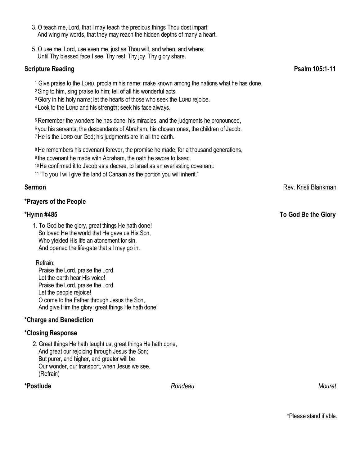- 3. O teach me, Lord, that I may teach the precious things Thou dost impart; And wing my words, that they may reach the hidden depths of many a heart.
- 5. O use me, Lord, use even me, just as Thou wilt, and when, and where; Until Thy blessed face I see, Thy rest, Thy joy, Thy glory share.

### **Scripture Reading Psalm 105:1-11** Psalm 105:1-11

<sup>1</sup> Give praise to the LORD, proclaim his name; make known among the nations what he has done.

- <sup>2</sup>Sing to him, sing praise to him; tell of all his wonderful acts.
- <sup>3</sup>Glory in his holy name; let the hearts of those who seek the LORD rejoice.

<sup>4</sup> Look to the LORD and his strength; seek his face always.

<sup>5</sup> Remember the wonders he has done, his miracles, and the judgments he pronounced, <sup>6</sup> you his servants, the descendants of Abraham, his chosen ones, the children of Jacob. <sup>7</sup>He is the LORD our God; his judgments are in all the earth.

<sup>8</sup>He remembers his covenant forever, the promise he made, for a thousand generations, <sup>9</sup> the covenant he made with Abraham, the oath he swore to Isaac. <sup>10</sup>He confirmed it to Jacob as a decree, to Israel as an everlasting covenant:

<sup>11</sup> "To you I will give the land of Canaan as the portion you will inherit."

## **\*Prayers of the People**

1. To God be the glory, great things He hath done! So loved He the world that He gave us His Son, Who yielded His life an atonement for sin, And opened the life-gate that all may go in.

Refrain:

 Praise the Lord, praise the Lord, Let the earth hear His voice! Praise the Lord, praise the Lord, Let the people rejoice! O come to the Father through Jesus the Son, And give Him the glory: great things He hath done!

## **\*Charge and Benediction**

## **\*Closing Response**

2. Great things He hath taught us, great things He hath done, And great our rejoicing through Jesus the Son; But purer, and higher, and greater will be Our wonder, our transport, when Jesus we see. (Refrain)

**\*Postlude** *Rondeau Mouret* 

**Sermon** Rev. Kristi Blankman

## **\*Hymn #485 To God Be the Glory**

\*Please stand if able.